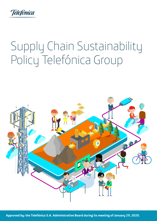

# Supply Chain Sustainability Policy Telefónica Group

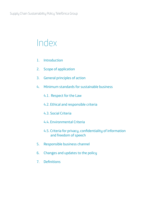### Index

- 1. Introduction
- 2. Scope of application
- 3. General principles of action
- 4. Minimum standards for sustainable business
	- 4.1. Respect for the Law
	- 4.2. Ethical and responsible criteria
	- 4.3. Social Criteria
	- 4.4. Environmental Criteria
	- 4.5. Criteria for privacy, confidentiality of information and freedom of speech
- 5. Responsible business channel
- 6. Changes and updates to the policy
- 7. Definitions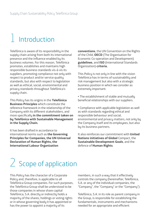# **Introduction**

Telefónica is aware of its responsibility in the supply chain arising from both its international presence and the influence enabled by its business volumes. For this reason, Telefónica promotes, establishes and maintains high responsible business standards vis-á-vis its suppliers, promoting compliance not only with respect to product and/or service quality standards, but also with respect to legislation as well as ethical, social, environmental and privacy standards throughout Telefónica's supply chain.

This Policy has its origins in the **Telefónica Business Principles** which constitute the reference framework in the relationship of the Company with its different stakeholders, and more specifically **in the commitment taken on by Telefónica with Sustainable Management in the Supply Chain.**

It has been drafted in accordance to international norms such as **the Governing Principles for Companies, the UN Universal Declaration of Human Rights, the International Labour Organization**

**conventions**, the UN Convention on the Rights of the Child, **OECD** (The Organisation for Economic Co-operation and Development) **guidelines**, and **ISO** (International Standards Organization) **criteria.**

This Policy is not only in line with the vision Telefónica has in terms of sustainability and risk management but also with a strategic business position in which we consider as extremelu important:

• The establishment of stable and mutually beneficial relationships with our suppliers.

• Compliance with applicable legislation as well as with standards regarding ethical and responsible behaviour and social, environmental and privacy matters, not only by the Company itself and its employees, but also by its business partners.

It also reinforces our commitment with **United Nations initiatives of Global** Compact, the **Sustainable Development Goals**, and the defence of **Human Rights**.

# 2 Scope of application

This Policy has the character of a Corporate Policy and, therefore, is applicable to all Telefónica Group companies. For such purposes, the Telefónica Group shall be understood to be those companies in whose share capital Telefónica, S.A. directly or indirectly holds a majority of the shares, holdings or voting rights or in whose governing body it has appointed or has the power to appoint a majority of its

members, in such a way that it effectively controls the company (hereinafter, Telefónica, S.A. or any of the individual companies, the "Company", the "Company" or the "Company").

Telefónica, S.A. in its role as parent company in the Group, is responsible for establishing the fundamentals, instruments and mechanisms needed for an appropriate and efficient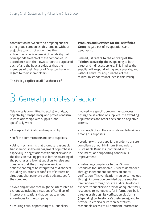coordination between this Company and the other group companies; this remains without prejudice to and not undermine the autonomous decision making capability that corresponds to each of these companies, in accordance with their own corporate purpose of each of and the fiduciary duties that the members of their Boards of Directors have with regard to their shareholders.

This Policy **applies to all Purchases of** 

**Products and Services for the Telefónica Group**, regardless of its operations and geography.

Similarly, **it refers to the entirety of the Telefónica supply chain**, applying to both direct and indirect suppliers. This implies the supplier will respond jointly and severally, and without limits, for any breaches of the minimum standards included in this Policy.

# 3 General principles of action

Telefónica is committed to acting with rigor, objectivity, transparency, and professionalism in its relationships with supplies, and specifically with:

- Always act ethically and responsibly.
- Fulfil the commitments made to suppliers.

• Using mechanisms that promote reasonable transparency in the management of purchases, especially in negotiations with suppliers and in the decision making process for the awarding of the purchases, allowing suppliers to raise any questions that they may have. Avoid any actions that might be interpreted as dishonest, including situations of conflicts of interest or situations that generate undue advantages for the company.

• Avoid any actions that might be interpreted as dishonest, including situations of conflicts of interest or situations that generate undue advantages for the company.

• Ensuring equal opportunity to all suppliers

involved in a specific procurement process, basing the selection of suppliers, the awarding of purchases and other decisions on objective criteria.

• Encouraging a culture of sustainable business among our suppliers.

• Working with our suppliers in order to ensure compliance of our Minimum Standards for Sustainable Business (contained in this document) and supporting continuous improvement.

• Evaluating compliance to the Minimum Standards for Sustainable Business demanded through independent supervision and/or verification. This verification may be carried out through information provided by the supplier itself and/or through on-site audits. Telefónica expects its suppliers to provide adequate timely responses to its requests for information, be it directly or through its verification platforms (depending on Telefónica's preference), and to provide Telefónica or its representatives reasonable access to all pertinent information,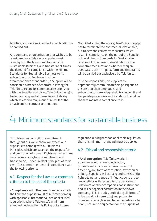facilities, and workers in order for verification to be carried out.

Any company or organization that wishes to be considered as a Telefónica supplier must comply with the Minimum Standards for Sustainable Business, and transfer at all times the demand for compliance with the Minimum Standards for Sustainable Business to its subcontractors. Any breach of the aforementioned standards by a Supplier will be considered a breach of contract, allowing for Telefónica to end its commercial relationship with the Supplier and giving Telefónica the right to demand any and all damage and liability which Telefónica may incur as a result of the breach and/or contract termination.

Notwithstanding the above, Telefónica may opt not to terminate the contractual relationship, but to demand corrective measures which result in compliance on the part of the Supplier of the Minimum Standards for Sustainable Business. In this case, the evaluation of the corrective measures and whether they are adequate, both in impact, form and timeframe, will be carried out exclusively by Telefónica.

It is the responsibility of suppliers to appropriately communicate this policy and to ensure that their employees and subcontractors are adequately trained on it and to operate procedures and standards that allow them to maintain compliance to it.

### 4 Minimum standards for sustainable business

To fulfil our responsibility commitment throughout our value chain, we expect our suppliers to comply with our Business Principles, which are based on the respect for and promotion of Human Rights as well as three basic values - integrity, commitment and transparency-, or equivalent principles of their own. This commitment entails compliance with the following criteria.

### 4.1 Respect for the Law as a common criterion to the rest of the criteria

• **Compliance with the Law**: Compliance with the Law: the supplier must at all times comply with applicable international, national or local regulations Where Telefonica's minimum standard (included in this Policu or its internal

regulations) is higher than applicable regulation than this minimum standard must be applied.

### 4.2 Ethical and responsible criteria

• **Anti-corruption**: Telefónica works in accordance with current legislation, professional ethics and internal rules, not accepting any form of corruption, extortion or briberu. Suppliers will actively and consistently fight against any type of influence contrary to law or ethics with respect to the decisions of Telefónica or other companies and institutions, and will act against corruption in their own company. This includes prohibiting all forms of bribery and not permitting any person to promise, offer or give any benefit or advantage of any nature to any person for the purpose of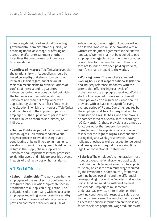influencing decisions of any kind (including governmental, administrative or judicial) or obtaining undue advantage, or offering or accepting gifts, entertainment or other incentives that may reward or influence a business decision.

• **Conflicts of interest**: Telefónica believes that the relationship with its suppliers should be based on loyalty that stems from common interests. In this regard, suppliers must maintain mechanisms to avoid situations of conflict of interest and to guarantee independence in the actions carried out within the framework of their relationship with Telefonica and their full compliance with applicable legislation. A conflict of interest is any situation in which the interest of Telefónica and the interest of the supplier, of persons employed by the supplier or of persons and entities linked to them collide, directly or indirectly.

• **Human Rights**: As part of its commitment to Human Rights, Telefónica conducts a due diligence process to avoid causing, avoid contributing or being linked to human rights violations. To minimize any possible risk in this regard in the supply chain, suppliers of Telefónica shall implement internal processes to identify, avoid and mitigate possible adverse impacts of their activities on human rights.

### 4.3 Social Criteria

• **Labour relationship**: The work done by the employees of the supplier must be based on a recognized labour relationship established in accordance to all applicable legislation. The obligations of the company with respect to its employees regarding labour or social security norms will not be avoided. Abuse of service provision contracts or the recurring use of

subcontracts, to avoid legal obligations will not be allowed. Workers must be provided with a written employment agreement in their native language. Workers shall not be required to pay employers' or agents' recruitment fees or other related fees for their employment. If any such fees are found to have been paid by workers, such fees shall be repaid to the worker.

• **Working hours**: The supplier's standard working hours shall respect national legislation and industry reference standards, with the criteria that offer the highest levels of protection for the employee prevailing. Workers shall not be required to work more than 48 hours per week on a regular basis and shall be provided with at least one day off for every average period of 7 days. Overtime required by the employer shall be voluntary, shall not be requested on a regular basis, and shall always be compensated at a special rate. According to ILO Convention 1, these provisions are aimed at functions other than supervision and/or management. The supplier shall encourage respect for the Right of Digital Disconnection during daily and weekly rest periods, leave, holidays or other, as well as respect for personal and family privacy beyond the working time legally or conventionally determined.

• **Salaries:** The employee's remuneration must meet or exceed national or, where applicable, local minimum legal requirements. The supplier must pay at least the minimum wage required by the law in force in each country for normal working hours, overtime and the differential corresponding to overtime. Salaries shall not be paid in kind and must be sufficient to meet basic needs. Emplouees must receive understandable written information on their working conditions with respect to salary prior to the commencement of employment, as well as detailed periodic information on their salary for each salaries payment. Wage reductions are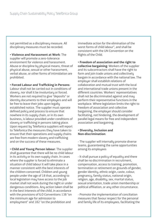not permitted as a disciplinary measure. All disciplinary measures must be recorded.

• **Violence and Harassment at Work**: The supplier will promote a zero-tolerance environment for violence and harassment. Abuse or discipline by physical means, threat of physical abuse, sexual or other harassment, verbal abuse, or other forms of intimidation are prohibited.

• **Forced Labour and Trafficking in Persons**: Labour shall not be carried out in conditions of slavery, nor shall it be involuntary or forced. Workers are not required to give "deposits" or identity documents to their employers and will be free to leave their jobs upon legally established notice. The supplier must operate defined policy and process to ensure that nowhere in its supply chain, or in its own business, is labour provided under conditions of slavery or trafficking in persons taking place. Upon request by Telefonica suppliers will report to Telefonica the measures they have taken to ensure that their operations and supply chains are free from modern slavery and trafficking and on the success of these measures.

• **Child and Young Person labour**: The supplier shall guarantee that there will be no child labour in its activity or its own supply chain. In cases where the supplier is forced to eliminate a situation of child labour it will take place in a manner consistent with the best interests of the children concerned. Children and young people under the age of 18 that, according to local legislation may have access to the job market shall not work during the night or under dangerous conditions. Any action taken shall be in the best interests of the child, in accordance with the provisions of ILO Conventions 138 "on the minimum age for admission to employment" and 182 "on the prohibition and

immediate action for the elimination of the worst forms of child labour", and shall be consistent with the UN Convention on the Rights of the Child.

• **Freedom of association and the right to collective bargaining**: Workers of the supplier and its subcontractors shall have the right to form and join trade unions and collectively bargain in accordance with the national law. The employer shall establish relations of collaboration and mutual trust with the local and international trade unions present in the different countries. Workers' representatives shall not be discriminated against and may perform their representative functions in the workplace. Where legislation limits the right to freedom of association and collective bargaining, the employer should consider facilitating, not hindering, the development of parallel legal means for free and independent association and bargaining.

#### • **Diversity, Inclusion and Non-discrimination**:

- The supplier will internally promote diverse teams, guaranteeing the same opportunities among its employees

- It shall pursue a policy of equality and there shall be no discrimination in recruitment, compensation, access to training, promotion, termination or retirement on grounds of gender, gender identity, ethnic origin, caste, colour, pregnancy, family status, national origin, religion, age, disability, sex, marital status, sexual orientation, trade union membership or political affiliation, or any other circumstance.

- Promote the implementation of conciliation measures that favour respect for the personal and family life of its employees, facilitating the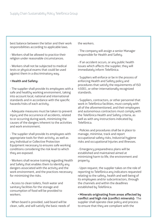best balance between the latter and their work responsibilities according to applicable laws.

- Workers shall be allowed to practice their religion under reasonable circumstances.

- Workers shall not be subjected to medical tests or physical exams that could be used against them in a discriminatory way.

#### • **Health and Safety:**

- The supplier shall provide its employees with a safe and healthy working environment, taking into account local, national and international standards and in accordance with the specific hazards/risks of each activity.

- Adequate measures must be taken to prevent injury and the occurrence of accidents, related to or occurring during work, minimizing the causes of the dangers inherent to the activities and work environment.

- The supplier shall provide its employees with appropriate tools for their activity, as well as any Individual or Collective Protection Equipment necessary to ensures safe working conditions considering the risk level to which they are exposed.

- Workers shall receive training regarding Health and Safety that enables them to identify any dangers associated with the activity and the work environment, and the practices necessary for minimizing the risks.

- Access to clean toilets, fresh water and sanitary facilities for the storage and consumption of food will be provided to workers.

- When board is provided, said board will be clean, safe, and will satisfy the basic needs of the workers.

- The company will assign a senior Manager responsible for Health and Safety.

- If an accident occurs, or any public health issues which affects the supplier, they will immediately inform Telefónica.

- Suppliers will enforce or be in the process of enforcing Health and Safety policy and procedures that satisfy the requirements of ISO 45001, or other internationally recognized standards.

- Suppliers, contractors, or other personnel that work in Telefónica facilities, must comply with all of the aforementioned, and their employees and autonomous contractors must comply with the Telefónica Health and Safety criteria, as well as with any instructions indicated by Telefónica.

- Policies and procedures shall be in place to manage, minimise, track and report occupational safety risks, Industrial hygiene risks and occupational Injuries and illnesses.

- Emergency preparedness plans will be established and maintained aimed at minimizing harm to life, the environment and property.

- Upon request, the supplier takes on the role of reporting to Telefónica any indicators requested relating to the safety, health and well-being of its employees and/or subcontractors, through the channels and within the deadlines established by Telefónica.

• **Minerals originating from areas affected by conflict and high risk (conflict minerals):** The supplier shall operate clear policy and process to ensure that they are compliant with the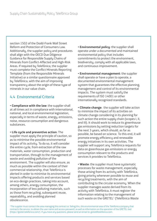section 1502 of the Dodd-Frank Wall Street Reform and Protection of Consumers Law. Additionally, the supplier policy and procedures shall align with the OECD Due Diligence Guidance for Responsible Supply Chains of Minerals from Conflict-Affected and High-Risk Areas. If required by Telefónica, the supplier must complete the Conflict Minerals Reporting Template (from the Responsible Minerals Initiative) or a similar questionnaire approved by Telefónica, with the aim of improving transparency about the origin of these type of minerals in our value chain.

### 4.4 Environmental Criteria

• **Compliance with the law**: the supplier shall at all times act in compliance with international, national, and local environmental legislation, especially in terms of waste, energy, emissions, noise, resource consumption and dangerous substances.

• **Life cycle and preventive action**: The supplier must apply the principle of caution, so as to minimise the possible environmental impact of its activity. To do so, it will consider the entire cycle, from extraction of the raw materials, water consumption, production and transportation, through to the management of waste and avoiding pollution of the environment. The supplier will also ensure, as much as possible within the context of their commercial relationship, that Telefónica is alerted in order to minimise its environmental impacts offering products and services based on eco-design practices, taking into account, among others, energy consumption, the incorporation of less polluting materials, such as those from recycling, subsequent reuse, repairability, and avoiding planned obsolescence.

• **Environmental policy**: the supplier shall operate under a documented and maintained environmental policy that includes commitments to protect the environment, biodiversity, comply with all applicable laws, and continuous improvement.

• **Environmental management**: the supplier shall operate or have a plan to operate, a documented environmental management system that guarantees the effective planning, management and control of its environmental impacts. The system must satisfy the requirements of ISO 14001 or other internationally recognized standards.

• **Climate change**: the supplier will take action to minimize the impact of its activities on climate change considering in its planning for such action the entire supply chain (scopes I, II, and III). It should work to reduce its greenhouse gas emissions by setting reduction targets for the next 3 years, which should, as far as possible, be based on science. To this end, it will promote energy efficiency and renewable energy initiatives in its own activities. The supplier will support any Telefónica requests for data on greenhouse gas emissions or energy consumption relevant to the products and services it provides to Telefónica.

• **Waste**: the supplier must have systematic processes for waste management, especially those arising from its activity with Telefónica, giving priority whenever possible to reuse and recycling treatments, with the aim of contributing to the circular economy. When the supplier manages waste derived from its activity with Telefónica, it must register the information relating to the management of such waste on the GRETEL<sup>1</sup> (Telefónica Waste

1 The supplier must contact the area managing the contract or, failing this, the environmental area of the Telefónica company that contracts the service, to obtain the user name and access password, as well as information on the operation of the GRETEL tool (https://gretel.telefonica.com/). If you have any questions, please send an email to: gretel@telefonica.com.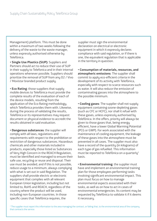Management) platform. This must be done within a maximum of two weeks following the delivery of the waste to the waste manager, unless expressly authorised otherwise by Telefónica.

• **Single Use Plastics (SUP)**: Suppliers and Partners should act to reduce their use of SUP in their supply to Telefonica and in their internal operations whenever possible. Suppliers should prioritize the removal of SUP from any O2 / Vivo / Movistar branded product supply.

• **Eco Rating**: those suppliers that supply mobile devices to Telefónica must provide the complete results of the evaluation of each of the device models, resulting from the application of the Eco Rating methodology, which Telefónica provides them with. Likewise, during the process of validating the results, Telefónica or its representatives may request document or physical evidence to accredit the results obtained in said evaluation.

• **Dangerous substances**: the supplier will comply with all laws, regulations and requirements with respect to the prohibition or restriction of dangerous substances. Hazardous chemicals and other materials included in products, especially those listed as Substances of Very High Concern in the REACH Regulation, must be identified and managed to ensure their safe use, recycling or reuse and disposal. Their use must be avoided, and if this is not possible, reduce usage to a minimum, always compluing with what is set out in said Regulation. The suppliers shall provide electric or electronic equipment that complies with all relevant European Union legislation, including but not limited to, RoHS and REACH, regardless of the country where the product will be used, including non-European countries. In those specific cases that Telefónica requires, the

supplier must sign the environmental declaration on electrical or electronic equipment in which it expressly declares compliance with said regulation, or if there is one, the equivalent regulation that is applicable in the territory in question.

• **Consumption of materials, resources, and atmospheric emissions**: The supplier shall commit to apply eco-efficient criteria in the development of its activity with Telefónica, especially with respect to scarce resources such as water. It will also reduce the emission of contaminating gasses into the atmosphere to the possible minimum.

• **Cooling gases**: The supplier shall not supply equipment containing ozone-depleting gases (such as CFC or HCFC), nor shall it refuel with these gases, unless expressly authorised by Telefónica. In the offers, priority will always be given to those gases that, being energy efficient, have a lower Global Warming Potential (PCG or GWP). For work associated with the maintenance of cooling equipment, the leakage of these gases into the atmosphere must be prevented in all cases. The supplier must also have a record of the quantity (in kilograms) of each type of gas refuelled. This information must be reported to Telefónica on a quarterly<sup>2</sup> basis.

• **Environmental training**: the supplier must have and implement an environmental training plan for those employees performing tasks involving significant environmental impact. This plan must focus on how to manage environmental aspects associated with their tasks, as well as on how to act in cases of environmental emergencies. Its content may be requested by Telefónica to validate it if it deems it necessary.

 $^2$  The supplier must report this information to the area managing the contract, or failing that, to the environmental area of the company that contracts the service.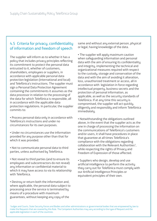### 4.5 Criteria for privacy, confidentiality of information and freedom of speech

The supplier will inform as to whether it has a policy that includes privacy principles reflecting its commitment to protect the personal data entrusted to it, whether of customers, shareholders, employees or suppliers, in accordance with applicable personal data protection legislation (international and local) and Telefónica's instructions. The supplier must sign a Personal Data Protection Agreement containing the commitments it assumes as the data processor in relation to the processing of the data for which Telefónica is responsible, all in accordance with the applicable data protection regulations. In particular, the supplier commits to:

• Process personal data only in accordance with Telefónica's instructions and under no circumstances for its own purposes.

• Under no circumstances use the information provided for any purpose other than that for which it was provided.

• Not to communicate personal data to third parties, unless authorised by Telefónica.

• Not reveal to third parties (and to ensure its employees and subcontractors do not reveal) any information or confidential material to which it may have access to via its relationship with Telefónica.

• Destroy or return both the information and, where applicable, the personal data subject to processing once the service is terminated by means of a procedure with maximum guarantees, without keeping any copy of the

same and without any external person, physical or legal, having knowledge of the data.

• The supplier will apply maximum caution when safeguarding information and personal data with the aim of ensuring its confidentiality and integrity, implementing the technical and organizational measures required with respect to the custody, storage and conservation of the data and with the aim of avoiding it alteration, loss, unauthorized treatment or access, all in accordance with legislation in force regarding intellectual property, business secrets and the protection of personal information, as applicable, as well as the security standards of Telefónica. If at any time this security is compromised, the supplier will act quickly, diligently and responsibly and inform Telefónica immediately.

• Notwithstanding the obligations outlined above, in the event that the supplier acts as the one in charge of processing the information on the communications of Telefónica's customers and/or users, it shall have procedures in place that guarantee at all times Telefónica's compliance with the obligations regarding collaboration with the Relevant Authorities<sup>3</sup>, while respecting the rights of Privacy and Freedom of Expression of those affected.

• Suppliers who design, develop and use artificial intelligence to perform the activity they carry out for Telefónica must comply with our Artificial Intelligence Principles or equivalent principles of their own.

3 Judges and Courts, State Security Forces and Bodies and other administrations or governmental bodies that are empowered by law to make the Requests that are covered by this Rule. The Competent Authorities may vary according to the type of Request and the applicable legislation in each of the countries.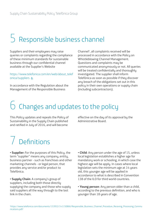### 5 Responsible business channel

Suppliers and their employees may raise queries or complaints regarding the compliance of these minimum standards for sustainable business through our confidential channel available at the Supplier's Website

#### https://www.telefonica.com/en/web/about\_telef onica/suppliers M

In accordance with the Regulation about the Management of the Responsible Business

Channel<sup>4</sup>, all complaints received will be processed in accordance with the Policy on Whistleblowing Channel Management. Questions and complaints may be communicated anonymously or not. All queries will be treated confidentially and thoroughly investigated. The supplier shall inform Telefónica as soon as possible if they discover any breach of the obligations set out in this policy in their own operations or supply chain (including subcontractors).

## 6 Changes and updates to the policy

This Policy updates and repeals the Policy of Sustainability in the Supply Chain published and ratified in July of 2016, and will become

effective on the day of its approval by the Administrative Board.

# 7 Definitions

• **Supplier:** For the purposes of this Policy, the term "supplier" means any company, entity, business partner - such as franchises and other marketing channels - or legal person, that provides any service and/or product to Telefónica.

• **Supply Chain**: A company's group of suppliers, including both those directly supplying the company and those who supply said suppliers all the way through to the last link in the chain.

• **Child**: Any person under the age of 15, unless local legislation establishes a higher age for mandatory work or schooling, in which case the highest age will be apply. In cases where local legislation sets the minimum age at 14 years old, this younger age will be applied in accordance to what is described in Convention 138 of the ILO for third world countries.

• **Young person**: Any person older than a child, according to the previous definition, and who is uounger than 18 years of age.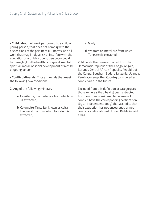• **Child labour**: All work performed by a child or young person, that does not comply with the dispositions of the pertinent ILO norms, and all work that may imply a risk or interfere with the education of a child or young person, or could be damaging to the health or physical, mental, spiritual, moral, or social development of a child or young person.

• **Conflict Minerals**: Those minerals that meet the following two conditions:

- **1.** Any of the following minerals:
	- **a.** Cassiterite, the metal ore from which tin is extracted;
	- **b.** Columbite-Tantalite, known as coltan, the metal ore from which tantalum is extracted;
- **c.** Gold;
- **d.** Wolframite, metal ore from which Tungsten is extracted.

**2.** Minerals that were extracted from the Democratic Republic of the Congo, Angola, Burundi, Central African Republic, Republic of the Congo, Southern Sudan, Tanzania, Uganda, Zambia, or any other Country considered as conflict area in the future.

Excluded from this definition or category are those minerals that, having been extracted from countries considered to be areas of conflict, have the corresponding certification (by an independent body) that accredits that their extraction has not encouraged armed conflicts and/or abused Human Rights in said areas.